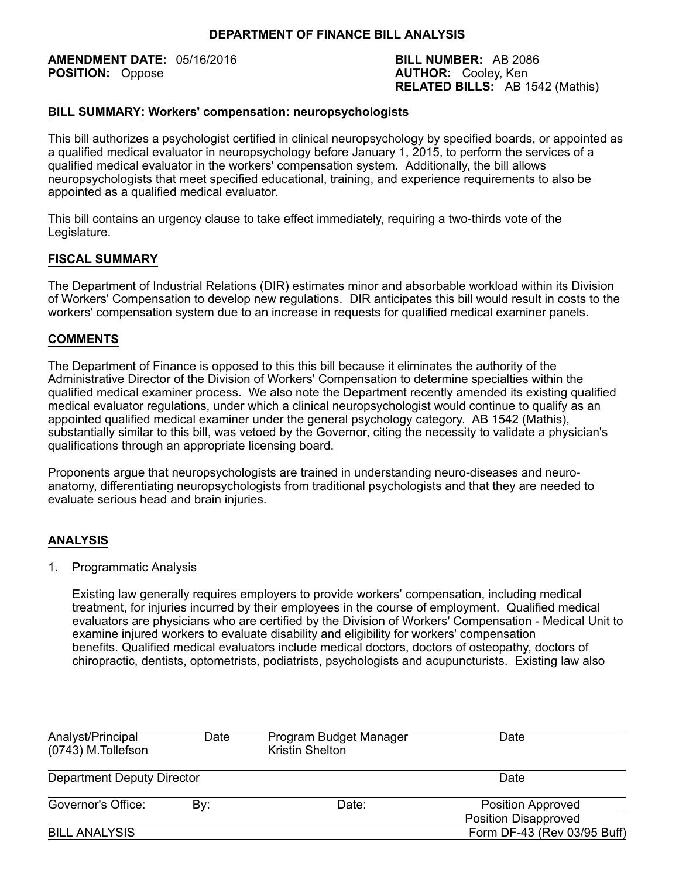**AMENDMENT DATE:** 05/16/2016 **BILL NUMBER:** AB 2086<br> **POSITION:** Oppose **BILL NUMBER:** Cooley, Ken

**AUTHOR:** Cooley, Ken **RELATED BILLS:** AB 1542 (Mathis)

### **BILL SUMMARY: Workers' compensation: neuropsychologists**

This bill authorizes a psychologist certified in clinical neuropsychology by specified boards, or appointed as a qualified medical evaluator in neuropsychology before January 1, 2015, to perform the services of a qualified medical evaluator in the workers' compensation system. Additionally, the bill allows neuropsychologists that meet specified educational, training, and experience requirements to also be appointed as a qualified medical evaluator.

This bill contains an urgency clause to take effect immediately, requiring a two-thirds vote of the Legislature.

## **FISCAL SUMMARY**

The Department of Industrial Relations (DIR) estimates minor and absorbable workload within its Division of Workers' Compensation to develop new regulations. DIR anticipates this bill would result in costs to the workers' compensation system due to an increase in requests for qualified medical examiner panels.

## **COMMENTS**

The Department of Finance is opposed to this this bill because it eliminates the authority of the Administrative Director of the Division of Workers' Compensation to determine specialties within the qualified medical examiner process. We also note the Department recently amended its existing qualified medical evaluator regulations, under which a clinical neuropsychologist would continue to qualify as an appointed qualified medical examiner under the general psychology category. AB 1542 (Mathis), substantially similar to this bill, was vetoed by the Governor, citing the necessity to validate a physician's qualifications through an appropriate licensing board.

Proponents argue that neuropsychologists are trained in understanding neuro-diseases and neuroanatomy, differentiating neuropsychologists from traditional psychologists and that they are needed to evaluate serious head and brain injuries.

### **ANALYSIS**

### 1. Programmatic Analysis

Existing law generally requires employers to provide workers' compensation, including medical treatment, for injuries incurred by their employees in the course of employment. Qualified medical evaluators are physicians who are certified by the Division of Workers' Compensation - Medical Unit to examine injured workers to evaluate disability and eligibility for workers' compensation benefits. Qualified medical evaluators include medical doctors, doctors of osteopathy, doctors of chiropractic, dentists, optometrists, podiatrists, psychologists and acupuncturists. Existing law also

| Analyst/Principal<br>(0743) M.Tollefson | Date         | Program Budget Manager<br><b>Kristin Shelton</b> | Date                                                    |  |
|-----------------------------------------|--------------|--------------------------------------------------|---------------------------------------------------------|--|
| Department Deputy Director              |              | Date                                             |                                                         |  |
| Governor's Office:                      | Date:<br>By: |                                                  | <b>Position Approved</b><br><b>Position Disapproved</b> |  |
| <b>BILL ANALYSIS</b>                    |              |                                                  | Form DF-43 (Rev 03/95 Buff)                             |  |